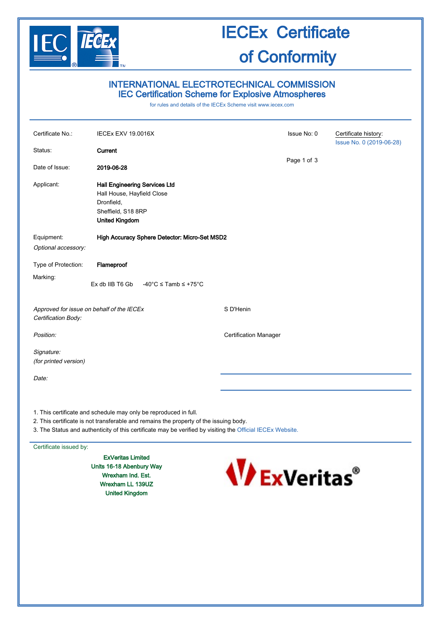

## IECEx Certificate of Conformity

### INTERNATIONAL ELECTROTECHNICAL COMMISSION IEC Certification Scheme for Explosive Atmospheres

for rules and details of the IECEx Scheme visit [www.iecex.com](http://www.iecex.com/)

| Certificate No.:                                                 | <b>IECEx EXV 19.0016X</b>                                                                                                       |                              | Issue No: 0 | Certificate history:<br>Issue No. 0 (2019-06-28) |
|------------------------------------------------------------------|---------------------------------------------------------------------------------------------------------------------------------|------------------------------|-------------|--------------------------------------------------|
| Status:                                                          | Current                                                                                                                         |                              |             |                                                  |
| Date of Issue:                                                   | 2019-06-28                                                                                                                      |                              | Page 1 of 3 |                                                  |
| Applicant:                                                       | <b>Hall Engineering Services Ltd</b><br>Hall House, Hayfield Close<br>Dronfield,<br>Sheffield, S18 8RP<br><b>United Kingdom</b> |                              |             |                                                  |
| Equipment:                                                       | High Accuracy Sphere Detector: Micro-Set MSD2                                                                                   |                              |             |                                                  |
| Optional accessory:                                              |                                                                                                                                 |                              |             |                                                  |
| Type of Protection:                                              | Flameproof                                                                                                                      |                              |             |                                                  |
| Marking:                                                         | Ex db IIB T6 Gb<br>$-40^{\circ}$ C $\le$ Tamb $\le$ +75 $^{\circ}$ C                                                            |                              |             |                                                  |
| Approved for issue on behalf of the IECEx<br>Certification Body: |                                                                                                                                 | S D'Henin                    |             |                                                  |
| Position:                                                        |                                                                                                                                 | <b>Certification Manager</b> |             |                                                  |
| Signature:<br>(for printed version)                              |                                                                                                                                 |                              |             |                                                  |
| Date:                                                            |                                                                                                                                 |                              |             |                                                  |
|                                                                  |                                                                                                                                 |                              |             |                                                  |
| 1. This certificate and schedule may only be reproduced in full. |                                                                                                                                 |                              |             |                                                  |

- 2. This certificate is not transferable and remains the property of the issuing body.
- 3. The Status and authenticity of this certificate may be verified by visiting the [Official IECEx Website.](http://iecex.iec.ch/)

#### Certificate issued by:

ExVeritas Limited Units 16-18 Abenbury Way Wrexham Ind. Est. Wrexham LL 139UZ United Kingdom

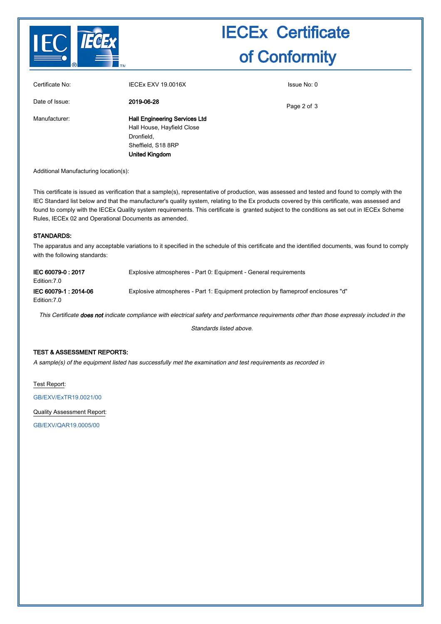

# IECEx Certificate of Conformity

| Certificate No: | <b>IECEX EXV 19.0016X</b>                                                                                                | Issue No: 0 |
|-----------------|--------------------------------------------------------------------------------------------------------------------------|-------------|
| Date of Issue:  | 2019-06-28                                                                                                               | Page 2 of 3 |
| Manufacturer:   | <b>Hall Engineering Services Ltd</b><br>Hall House, Hayfield Close<br>Dronfield,<br>Sheffield, S18 8RP<br>United Kingdom |             |

Additional Manufacturing location(s):

This certificate is issued as verification that a sample(s), representative of production, was assessed and tested and found to comply with the IEC Standard list below and that the manufacturer's quality system, relating to the Ex products covered by this certificate, was assessed and found to comply with the IECEx Quality system requirements. This certificate is granted subject to the conditions as set out in IECEx Scheme Rules, IECEx 02 and Operational Documents as amended.

#### STANDARDS:

The apparatus and any acceptable variations to it specified in the schedule of this certificate and the identified documents, was found to comply with the following standards:

| IEC 60079-0: 2017<br>Edition: 7.0   | Explosive atmospheres - Part 0: Equipment - General requirements                                                                                    |
|-------------------------------------|-----------------------------------------------------------------------------------------------------------------------------------------------------|
| IEC 60079-1:2014-06<br>Edition: 7.0 | Explosive atmospheres - Part 1: Equipment protection by flameproof enclosures "d"                                                                   |
|                                     | This Certificate <b>does not</b> indicate compliance with electrical safety and performance requirements other than those expressly included in the |

Standards listed above.

### TEST & ASSESSMENT REPORTS:

A sample(s) of the equipment listed has successfully met the examination and test requirements as recorded in

Test Report:

[GB/EXV/ExTR19.0021/00](http://iecex.iec.ch/extr/GB.EXV.ExTR19.0021.00)

Quality Assessment Report: [GB/EXV/QAR19.0005/00](http://iecex.iec.ch/qar/GB.EXV.QAR19.0005.00)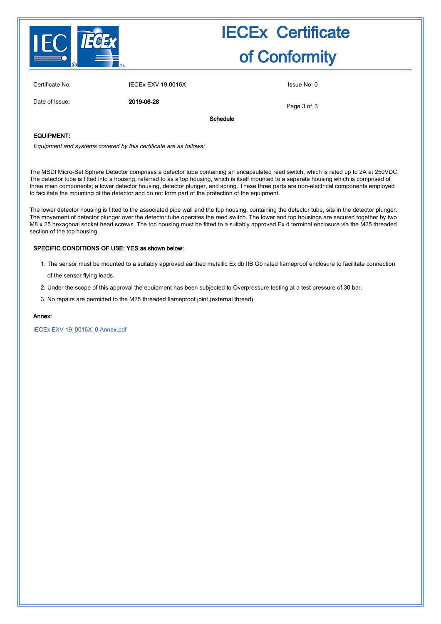

## IECEx Certificate of Conformity

| Certificate No: | <b>IECEX EXV 19.0016X</b> |          | Issue No: 0 |
|-----------------|---------------------------|----------|-------------|
| Date of Issue:  | 2019-06-28                |          | Page 3 of 3 |
|                 |                           | Schedule |             |

#### EQUIPMENT:

Equipment and systems covered by this certificate are as follows:

The MSDI Micro-Set Sphere Detector comprises a detector tube containing an encapsulated reed switch, which is rated up to 2A at 250VDC. The detector tube is fitted into a housing, referred to as a top housing, which is itself mounted to a separate housing which is comprised of three main components; a lower detector housing, detector plunger, and spring. These three parts are non-electrical components employed to facilitate the mounting of the detector and do not form part of the protection of the equipment.

The lower detector housing is fitted to the associated pipe wall and the top housing, containing the detector tube, sits in the detector plunger. The movement of detector plunger over the detector tube operates the reed switch. The lower and top housings are secured together by two M8 x 25 hexagonal socket head screws. The top housing must be fitted to a suitably approved Ex d terminal enclosure via the M25 threaded section of the top housing.

### SPECIFIC CONDITIONS OF USE: YES as shown below:

1. The sensor must be mounted to a suitably approved earthed metallic Ex db IIB Gb rated flameproof enclosure to facilitate connection

of the sensor flying leads.

- 2. Under the scope of this approval the equipment has been subjected to Overpressure testing at a test pressure of 30 bar.
- 3. No repairs are permitted to the M25 threaded flameproof joint (external thread).

#### Annex:

[IECEx EXV 19\\_0016X\\_0 Annex.pdf](http://iecex.iec.ch/cert/IECExEXV19.00160/$File/IECEx EXV 19_0016X_0 Annex.pdf)